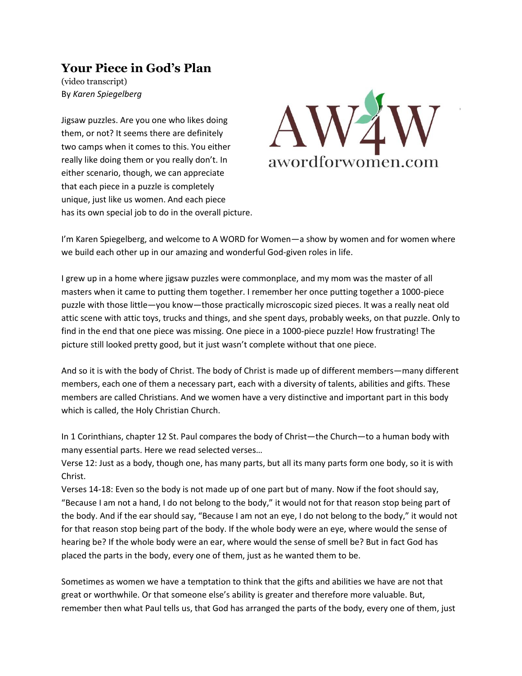# **Your Piece in God's Plan**

(video transcript) By *Karen Spiegelberg*

Jigsaw puzzles. Are you one who likes doing them, or not? It seems there are definitely two camps when it comes to this. You either really like doing them or you really don't. In either scenario, though, we can appreciate that each piece in a puzzle is completely unique, just like us women. And each piece has its own special job to do in the overall picture.



I'm Karen Spiegelberg, and welcome to A WORD for Women—a show by women and for women where we build each other up in our amazing and wonderful God-given roles in life.

I grew up in a home where jigsaw puzzles were commonplace, and my mom was the master of all masters when it came to putting them together. I remember her once putting together a 1000-piece puzzle with those little—you know—those practically microscopic sized pieces. It was a really neat old attic scene with attic toys, trucks and things, and she spent days, probably weeks, on that puzzle. Only to find in the end that one piece was missing. One piece in a 1000-piece puzzle! How frustrating! The picture still looked pretty good, but it just wasn't complete without that one piece.

And so it is with the body of Christ. The body of Christ is made up of different members—many different members, each one of them a necessary part, each with a diversity of talents, abilities and gifts. These members are called Christians. And we women have a very distinctive and important part in this body which is called, the Holy Christian Church.

In 1 Corinthians, chapter 12 St. Paul compares the body of Christ—the Church—to a human body with many essential parts. Here we read selected verses…

Verse 12: Just as a body, though one, has many parts, but all its many parts form one body, so it is with Christ.

Verses 14-18: Even so the body is not made up of one part but of many. Now if the foot should say, "Because I am not a hand, I do not belong to the body," it would not for that reason stop being part of the body. And if the ear should say, "Because I am not an eye, I do not belong to the body," it would not for that reason stop being part of the body. If the whole body were an eye, where would the sense of hearing be? If the whole body were an ear, where would the sense of smell be? But in fact God has placed the parts in the body, every one of them, just as he wanted them to be.

Sometimes as women we have a temptation to think that the gifts and abilities we have are not that great or worthwhile. Or that someone else's ability is greater and therefore more valuable. But, remember then what Paul tells us, that God has arranged the parts of the body, every one of them, just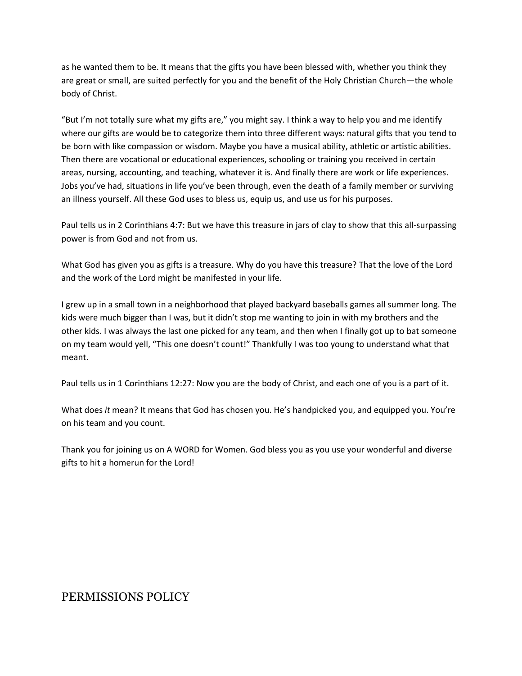as he wanted them to be. It means that the gifts you have been blessed with, whether you think they are great or small, are suited perfectly for you and the benefit of the Holy Christian Church—the whole body of Christ.

"But I'm not totally sure what my gifts are," you might say. I think a way to help you and me identify where our gifts are would be to categorize them into three different ways: natural gifts that you tend to be born with like compassion or wisdom. Maybe you have a musical ability, athletic or artistic abilities. Then there are vocational or educational experiences, schooling or training you received in certain areas, nursing, accounting, and teaching, whatever it is. And finally there are work or life experiences. Jobs you've had, situations in life you've been through, even the death of a family member or surviving an illness yourself. All these God uses to bless us, equip us, and use us for his purposes.

Paul tells us in 2 Corinthians 4:7: But we have this treasure in jars of clay to show that this all-surpassing power is from God and not from us.

What God has given you as gifts is a treasure. Why do you have this treasure? That the love of the Lord and the work of the Lord might be manifested in your life.

I grew up in a small town in a neighborhood that played backyard baseballs games all summer long. The kids were much bigger than I was, but it didn't stop me wanting to join in with my brothers and the other kids. I was always the last one picked for any team, and then when I finally got up to bat someone on my team would yell, "This one doesn't count!" Thankfully I was too young to understand what that meant.

Paul tells us in 1 Corinthians 12:27: Now you are the body of Christ, and each one of you is a part of it.

What does *it* mean? It means that God has chosen you. He's handpicked you, and equipped you. You're on his team and you count.

Thank you for joining us on A WORD for Women. God bless you as you use your wonderful and diverse gifts to hit a homerun for the Lord!

## PERMISSIONS POLICY